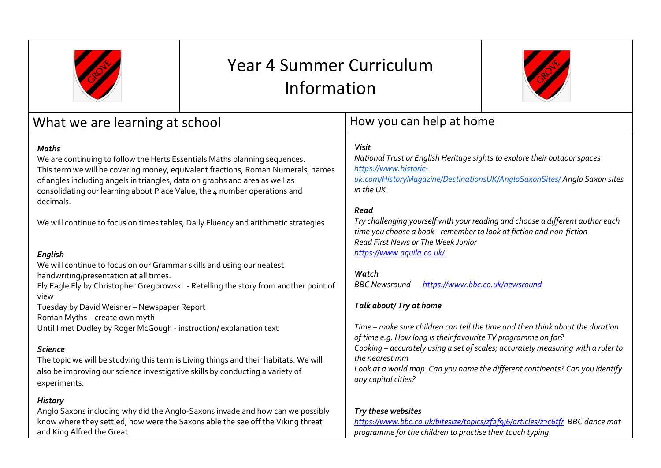

## Year 4 Summer Curriculum Information



| What we are learning at school                                                                                                                                                                                                                                                                                                                   | How you can help at home                                                                                                                                                                                    |  |
|--------------------------------------------------------------------------------------------------------------------------------------------------------------------------------------------------------------------------------------------------------------------------------------------------------------------------------------------------|-------------------------------------------------------------------------------------------------------------------------------------------------------------------------------------------------------------|--|
| Maths<br>We are continuing to follow the Herts Essentials Maths planning sequences.<br>This term we will be covering money, equivalent fractions, Roman Numerals, names<br>of angles including angels in triangles, data on graphs and area as well as<br>consolidating our learning about Place Value, the 4 number operations and<br>decimals. | <b>Visit</b><br>National Trust or English Heritage sights to explore their outdoor spaces<br>https://www.historic-<br>uk.com/HistoryMagazine/DestinationsUK/AngloSaxonSites/ Anglo Saxon sites<br>in the UK |  |
| We will continue to focus on times tables, Daily Fluency and arithmetic strategies                                                                                                                                                                                                                                                               | Read<br>Try challenging yourself with your reading and choose a different author each<br>time you choose a book - remember to look at fiction and non-fiction<br>Read First News or The Week Junior         |  |
| <b>English</b>                                                                                                                                                                                                                                                                                                                                   | https://www.aquila.co.uk/                                                                                                                                                                                   |  |
| We will continue to focus on our Grammar skills and using our neatest                                                                                                                                                                                                                                                                            | Watch                                                                                                                                                                                                       |  |
| handwriting/presentation at all times.<br>Fly Eagle Fly by Christopher Gregorowski - Retelling the story from another point of<br>view                                                                                                                                                                                                           | https://www.bbc.co.uk/newsround<br><b>BBC</b> Newsround                                                                                                                                                     |  |
| Tuesday by David Weisner - Newspaper Report                                                                                                                                                                                                                                                                                                      | Talk about/ Try at home                                                                                                                                                                                     |  |
| Roman Myths - create own myth                                                                                                                                                                                                                                                                                                                    |                                                                                                                                                                                                             |  |
| Until I met Dudley by Roger McGough - instruction/explanation text                                                                                                                                                                                                                                                                               | Time – make sure children can tell the time and then think about the duration<br>of time e.g. How long is their favourite TV programme on for?                                                              |  |
| <b>Science</b>                                                                                                                                                                                                                                                                                                                                   | Cooking - accurately using a set of scales; accurately measuring with a ruler to                                                                                                                            |  |
| The topic we will be studying this term is Living things and their habitats. We will                                                                                                                                                                                                                                                             | the nearest mm                                                                                                                                                                                              |  |
| also be improving our science investigative skills by conducting a variety of<br>experiments.                                                                                                                                                                                                                                                    | Look at a world map. Can you name the different continents? Can you identify<br>any capital cities?                                                                                                         |  |
| <b>History</b>                                                                                                                                                                                                                                                                                                                                   |                                                                                                                                                                                                             |  |
| Anglo Saxons including why did the Anglo-Saxons invade and how can we possibly                                                                                                                                                                                                                                                                   | Try these websites                                                                                                                                                                                          |  |
| know where they settled, how were the Saxons able the see off the Viking threat<br>and King Alfred the Great                                                                                                                                                                                                                                     | https://www.bbc.co.uk/bitesize/topics/zf2f9j6/articles/z3c6tfr_BBC dance mat<br>programme for the children to practise their touch typing                                                                   |  |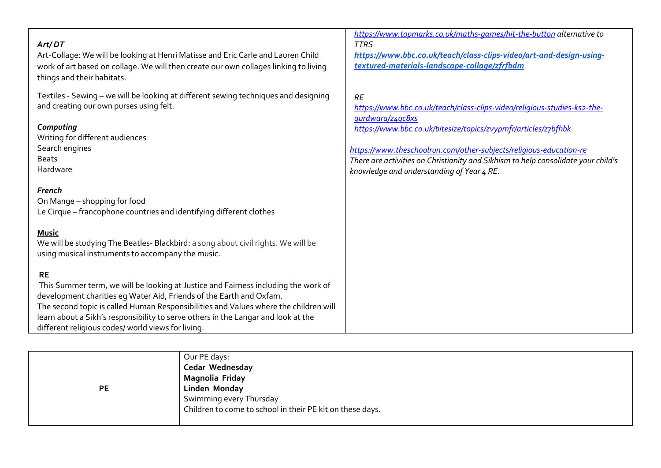| Art/DT<br>Art-Collage: We will be looking at Henri Matisse and Eric Carle and Lauren Child<br>work of art based on collage. We will then create our own collages linking to living<br>things and their habitats.                                                                                                                                                                                          | <b>TTRS</b><br>https://www.bbc.co.uk/teach/class-clips-video/art-and-design-using-<br>textured-materials-landscape-collage/zfrfbdm                                                                                                                                                                                                                                                  |
|-----------------------------------------------------------------------------------------------------------------------------------------------------------------------------------------------------------------------------------------------------------------------------------------------------------------------------------------------------------------------------------------------------------|-------------------------------------------------------------------------------------------------------------------------------------------------------------------------------------------------------------------------------------------------------------------------------------------------------------------------------------------------------------------------------------|
| Textiles - Sewing - we will be looking at different sewing techniques and designing<br>and creating our own purses using felt.<br>Computing<br>Writing for different audiences<br>Search engines<br><b>Beats</b><br>Hardware                                                                                                                                                                              | <b>RE</b><br>https://www.bbc.co.uk/teach/class-clips-video/religious-studies-ks2-the-<br>gurdwara/z4qc8xs<br>https://www.bbc.co.uk/bitesize/topics/zvypmfr/articles/z7bfhbk<br>https://www.theschoolrun.com/other-subjects/religious-education-re<br>There are activities on Christianity and Sikhism to help consolidate your child's<br>knowledge and understanding of Year 4 RE. |
| French<br>On Mange - shopping for food<br>Le Cirque - francophone countries and identifying different clothes<br><b>Music</b><br>We will be studying The Beatles- Blackbird: a song about civil rights. We will be<br>using musical instruments to accompany the music.                                                                                                                                   |                                                                                                                                                                                                                                                                                                                                                                                     |
| <b>RE</b><br>This Summer term, we will be looking at Justice and Fairness including the work of<br>development charities eg Water Aid, Friends of the Earth and Oxfam.<br>The second topic is called Human Responsibilities and Values where the children will<br>learn about a Sikh's responsibility to serve others in the Langar and look at the<br>different religious codes/ world views for living. |                                                                                                                                                                                                                                                                                                                                                                                     |

*<https://www.topmarks.co.uk/maths-games/hit-the-button> alternative to* 

|           | Our PE days:                                              |
|-----------|-----------------------------------------------------------|
|           | Cedar Wednesday                                           |
|           | Magnolia Friday                                           |
| <b>PE</b> | Linden Monday                                             |
|           | Swimming every Thursday                                   |
|           | Children to come to school in their PE kit on these days. |
|           |                                                           |